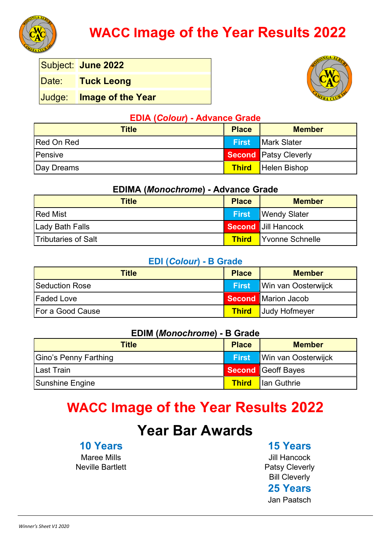

# **WACC Image of the Year Results 2022**

Subject: **June 2022**

Date: **Tuck Leong**

Judge: **Image of the Year**



#### **EDIA (***Colour***) - Advance Grade**

| <b>Title</b> | <b>Place</b> | <b>Member</b>                |
|--------------|--------------|------------------------------|
| Red On Red   | <b>First</b> | Mark Slater                  |
| Pensive      |              | <b>Second Patsy Cleverly</b> |
| Day Dreams   | <b>Third</b> | Helen Bishop                 |

#### **EDIMA (***Monochrome***) - Advance Grade**

| Title                      | <b>Place</b> | <b>Member</b>                |
|----------------------------|--------------|------------------------------|
| <b>Red Mist</b>            |              | <b>First</b> Wendy Slater    |
| Lady Bath Falls            |              | Second Jill Hancock          |
| <b>Tributaries of Salt</b> |              | <b>Third</b> Yvonne Schnelle |

#### **EDI (***Colour***) - B Grade**

| <b>Title</b>            | <b>Place</b> | <b>Member</b>              |
|-------------------------|--------------|----------------------------|
| <b>Seduction Rose</b>   | <b>First</b> | <b>Win van Oosterwijck</b> |
| <b>Faded Love</b>       |              | <b>Second Marion Jacob</b> |
| <b>For a Good Cause</b> |              | <b>Third</b> Judy Hofmeyer |

#### **EDIM (***Monochrome***) - B Grade**

| Title                 | <b>Place</b> | <b>Member</b>                    |
|-----------------------|--------------|----------------------------------|
| Gino's Penny Farthing |              | <b>First</b> Win van Oosterwijck |
| <b>Last Train</b>     |              | Second Geoff Bayes               |
| Sunshine Engine       |              | <b>Third</b> lan Guthrie         |

## **WACC Image of the Year Results 2022**

## **Year Bar Awards**

### **10 Years**

Maree Mills Neville Bartlett **15 Years**

Jill Hancock Patsy Cleverly Bill Cleverly **25 Years**

Jan Paatsch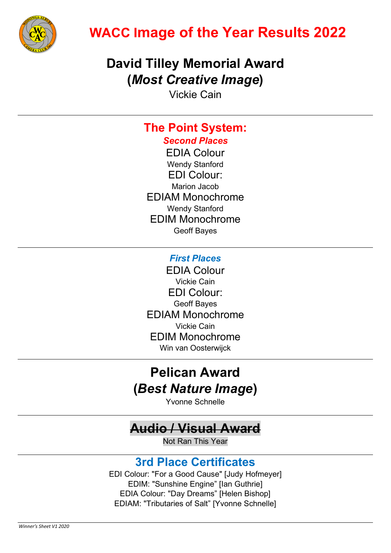

# **WACC Image of the Year Results 2022**

## **David Tilley Memorial Award (***Most Creative Image***)**

Vickie Cain

## **The Point System:**

*Second Places* EDIA Colour Wendy Stanford EDI Colour: Marion Jacob EDIAM Monochrome Wendy Stanford EDIM Monochrome Geoff Bayes

### *First Places*

EDIA Colour Vickie Cain EDI Colour: Geoff Bayes EDIAM Monochrome Vickie Cain EDIM Monochrome Win van Oosterwijck

## **Pelican Award (***Best Nature Image***)**

Yvonne Schnelle

## **Audio / Visual Award**

Not Ran This Year

### **3rd Place Certificates**

EDI Colour: "For a Good Cause" [Judy Hofmeyer] EDIM: "Sunshine Engine" [Ian Guthrie] EDIA Colour: "Day Dreams" [Helen Bishop] EDIAM: "Tributaries of Salt" [Yvonne Schnelle]